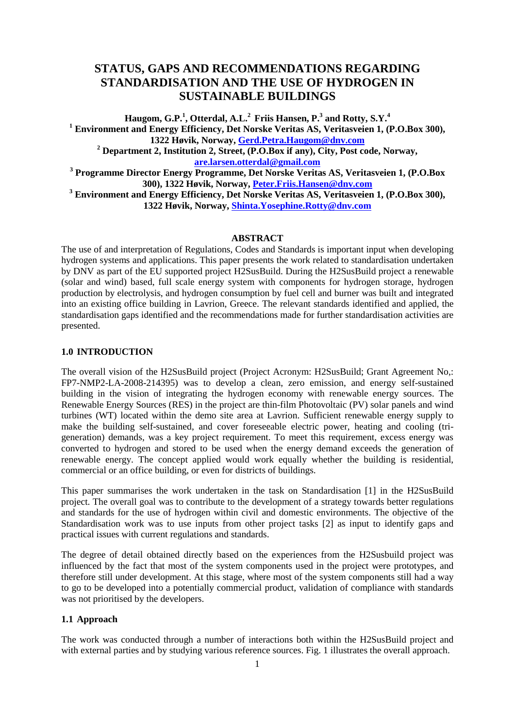# **STATUS, GAPS AND RECOMMENDATIONS REGARDING STANDARDISATION AND THE USE OF HYDROGEN IN SUSTAINABLE BUILDINGS**

Haugom, G.P.<sup>1</sup>, Otterdal, A.L.<sup>2</sup> Friis Hansen, P.<sup>3</sup> and Rotty, S.Y.<sup>4</sup> **<sup>1</sup> Environment and Energy Efficiency, Det Norske Veritas AS, Veritasveien 1, (P.O.Box 300), 1322 Høvik, Norway, [Gerd.Petra.Haugom@dnv.com](mailto:Gerd.Petra.Haugom@dnv.com) <sup>2</sup> Department 2, Institution 2, Street, (P.O.Box if any), City, Post code, Norway, [are.larsen.otterdal@gmail.com](mailto:are.larsen.otterdal@gmail.com) <sup>3</sup> Programme Director Energy Programme, Det Norske Veritas AS, Veritasveien 1, (P.O.Box 300), 1322 Høvik, Norway, [Peter.Friis.Hansen@dnv.com](mailto:Peter.Friis.Hansen@dnv.com)**

**<sup>3</sup> Environment and Energy Efficiency, Det Norske Veritas AS, Veritasveien 1, (P.O.Box 300), 1322 Høvik, Norway, [Shinta.Yosephine.Rotty@dnv.com](mailto:Shinta.Yosephine.Rotty@dnv.com)**

#### **ABSTRACT**

The use of and interpretation of Regulations, Codes and Standards is important input when developing hydrogen systems and applications. This paper presents the work related to standardisation undertaken by DNV as part of the EU supported project H2SusBuild. During the H2SusBuild project a renewable (solar and wind) based, full scale energy system with components for hydrogen storage, hydrogen production by electrolysis, and hydrogen consumption by fuel cell and burner was built and integrated into an existing office building in Lavrion, Greece. The relevant standards identified and applied, the standardisation gaps identified and the recommendations made for further standardisation activities are presented.

### **1.0 INTRODUCTION**

The overall vision of the H2SusBuild project (Project Acronym: H2SusBuild; Grant Agreement No,: FP7-NMP2-LA-2008-214395) was to develop a clean, zero emission, and energy self-sustained building in the vision of integrating the hydrogen economy with renewable energy sources. The Renewable Energy Sources (RES) in the project are thin-film Photovoltaic (PV) solar panels and wind turbines (WT) located within the demo site area at Lavrion. Sufficient renewable energy supply to make the building self-sustained, and cover foreseeable electric power, heating and cooling (trigeneration) demands, was a key project requirement. To meet this requirement, excess energy was converted to hydrogen and stored to be used when the energy demand exceeds the generation of renewable energy. The concept applied would work equally whether the building is residential, commercial or an office building, or even for districts of buildings.

This paper summarises the work undertaken in the task on Standardisation [1] in the H2SusBuild project. The overall goal was to contribute to the development of a strategy towards better regulations and standards for the use of hydrogen within civil and domestic environments. The objective of the Standardisation work was to use inputs from other project tasks [2] as input to identify gaps and practical issues with current regulations and standards.

The degree of detail obtained directly based on the experiences from the H2Susbuild project was influenced by the fact that most of the system components used in the project were prototypes, and therefore still under development. At this stage, where most of the system components still had a way to go to be developed into a potentially commercial product, validation of compliance with standards was not prioritised by the developers.

# **1.1 Approach**

The work was conducted through a number of interactions both within the H2SusBuild project and with external parties and by studying various reference sources. Fig. 1 illustrates the overall approach.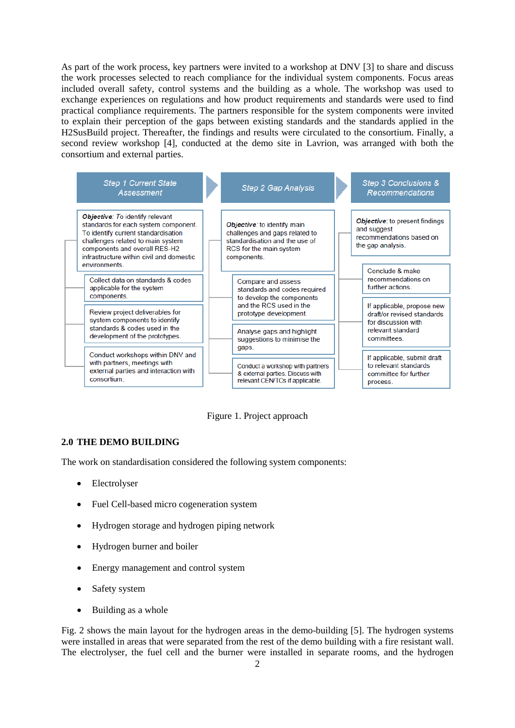As part of the work process, key partners were invited to a workshop at DNV [3] to share and discuss the work processes selected to reach compliance for the individual system components. Focus areas included overall safety, control systems and the building as a whole. The workshop was used to exchange experiences on regulations and how product requirements and standards were used to find practical compliance requirements. The partners responsible for the system components were invited to explain their perception of the gaps between existing standards and the standards applied in the H2SusBuild project. Thereafter, the findings and results were circulated to the consortium. Finally, a second review workshop [4], conducted at the demo site in Lavrion, was arranged with both the consortium and external parties.



Figure 1. Project approach

# **2.0 THE DEMO BUILDING**

The work on standardisation considered the following system components:

- Electrolyser
- Fuel Cell-based micro cogeneration system
- Hydrogen storage and hydrogen piping network
- Hydrogen burner and boiler
- Energy management and control system
- Safety system
- Building as a whole

Fig. 2 shows the main layout for the hydrogen areas in the demo-building [5]. The hydrogen systems were installed in areas that were separated from the rest of the demo building with a fire resistant wall. The electrolyser, the fuel cell and the burner were installed in separate rooms, and the hydrogen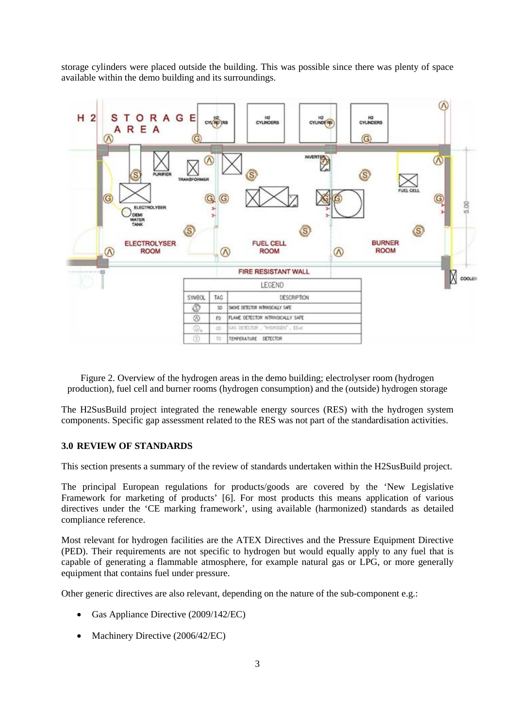storage cylinders were placed outside the building. This was possible since there was plenty of space available within the demo building and its surroundings.



Figure 2. Overview of the hydrogen areas in the demo building; electrolyser room (hydrogen production), fuel cell and burner rooms (hydrogen consumption) and the (outside) hydrogen storage

The H2SusBuild project integrated the renewable energy sources (RES) with the hydrogen system components. Specific gap assessment related to the RES was not part of the standardisation activities.

#### **3.0 REVIEW OF STANDARDS**

This section presents a summary of the review of standards undertaken within the H2SusBuild project.

The principal European regulations for products/goods are covered by the 'New Legislative Framework for marketing of products' [6]. For most products this means application of various directives under the 'CE marking framework', using available (harmonized) standards as detailed compliance reference.

Most relevant for hydrogen facilities are the ATEX Directives and the Pressure Equipment Directive (PED). Their requirements are not specific to hydrogen but would equally apply to any fuel that is capable of generating a flammable atmosphere, for example natural gas or LPG, or more generally equipment that contains fuel under pressure.

Other generic directives are also relevant, depending on the nature of the sub-component e.g.:

- Gas Appliance Directive (2009/142/EC)
- Machinery Directive (2006/42/EC)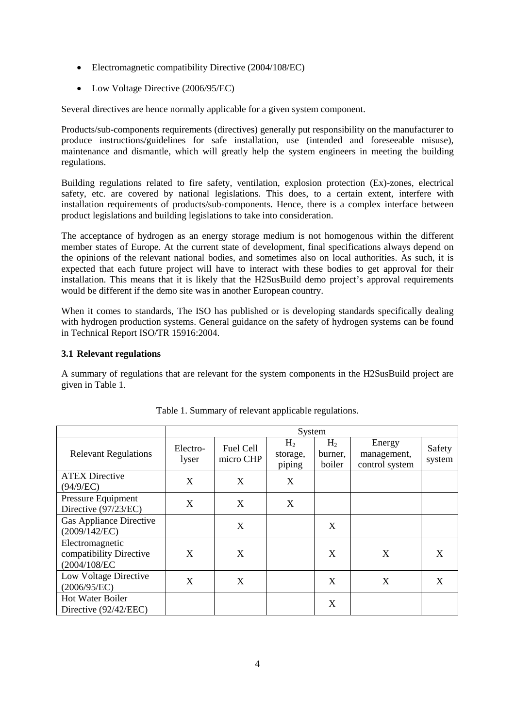- Electromagnetic compatibility Directive (2004/108/EC)
- Low Voltage Directive (2006/95/EC)

Several directives are hence normally applicable for a given system component.

Products/sub-components requirements (directives) generally put responsibility on the manufacturer to produce instructions/guidelines for safe installation, use (intended and foreseeable misuse), maintenance and dismantle, which will greatly help the system engineers in meeting the building regulations.

Building regulations related to fire safety, ventilation, explosion protection (Ex)-zones, electrical safety, etc. are covered by national legislations. This does, to a certain extent, interfere with installation requirements of products/sub-components. Hence, there is a complex interface between product legislations and building legislations to take into consideration.

The acceptance of hydrogen as an energy storage medium is not homogenous within the different member states of Europe. At the current state of development, final specifications always depend on the opinions of the relevant national bodies, and sometimes also on local authorities. As such, it is expected that each future project will have to interact with these bodies to get approval for their installation. This means that it is likely that the H2SusBuild demo project's approval requirements would be different if the demo site was in another European country.

When it comes to standards, The ISO has published or is developing standards specifically dealing with hydrogen production systems. General guidance on the safety of hydrogen systems can be found in Technical Report ISO/TR 15916:2004.

# **3.1 Relevant regulations**

A summary of regulations that are relevant for the system components in the H2SusBuild project are given in Table 1.

|                                                            | System            |                        |                                      |                                     |                                         |                  |
|------------------------------------------------------------|-------------------|------------------------|--------------------------------------|-------------------------------------|-----------------------------------------|------------------|
| <b>Relevant Regulations</b>                                | Electro-<br>lyser | Fuel Cell<br>micro CHP | H <sub>2</sub><br>storage,<br>piping | H <sub>2</sub><br>burner.<br>boiler | Energy<br>management,<br>control system | Safety<br>system |
| <b>ATEX Directive</b><br>(94/9/EC)                         | X                 | X                      | X                                    |                                     |                                         |                  |
| Pressure Equipment<br>Directive (97/23/EC)                 | X                 | X                      | X                                    |                                     |                                         |                  |
| <b>Gas Appliance Directive</b><br>(2009/142/EC)            |                   | X                      |                                      | X                                   |                                         |                  |
| Electromagnetic<br>compatibility Directive<br>(2004/108/EC | X                 | X                      |                                      | X                                   | X                                       | X                |
| Low Voltage Directive<br>(2006/95/EC)                      | X                 | X                      |                                      | X                                   | X                                       | X                |
| <b>Hot Water Boiler</b><br>Directive (92/42/EEC)           |                   |                        |                                      | X                                   |                                         |                  |

Table 1. Summary of relevant applicable regulations.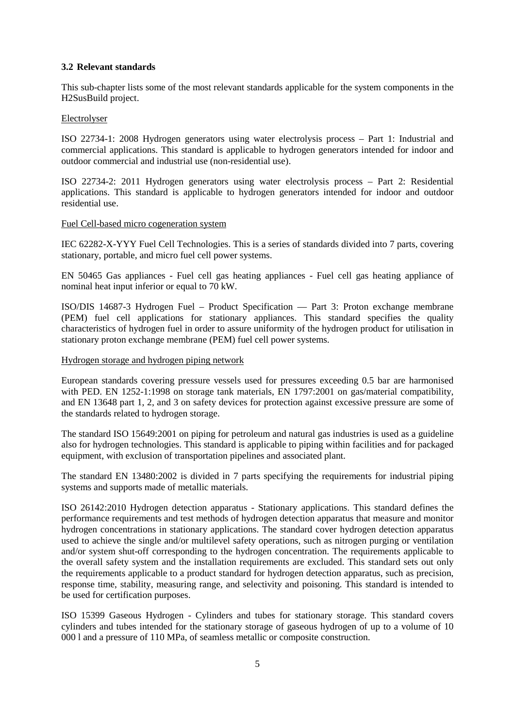# **3.2 Relevant standards**

This sub-chapter lists some of the most relevant standards applicable for the system components in the H2SusBuild project.

### Electrolyser

ISO 22734-1: 2008 Hydrogen generators using water electrolysis process – Part 1: Industrial and commercial applications. This standard is applicable to hydrogen generators intended for indoor and outdoor commercial and industrial use (non-residential use).

ISO 22734-2: 2011 Hydrogen generators using water electrolysis process – Part 2: Residential applications. This standard is applicable to hydrogen generators intended for indoor and outdoor residential use.

# Fuel Cell-based micro cogeneration system

IEC 62282-X-YYY Fuel Cell Technologies. This is a series of standards divided into 7 parts, covering stationary, portable, and micro fuel cell power systems.

EN 50465 Gas appliances - Fuel cell gas heating appliances - Fuel cell gas heating appliance of nominal heat input inferior or equal to 70 kW.

ISO/DIS 14687-3 Hydrogen Fuel – Product Specification — Part 3: Proton exchange membrane (PEM) fuel cell applications for stationary appliances. This standard specifies the quality characteristics of hydrogen fuel in order to assure uniformity of the hydrogen product for utilisation in stationary proton exchange membrane (PEM) fuel cell power systems.

# Hydrogen storage and hydrogen piping network

European standards covering pressure vessels used for pressures exceeding 0.5 bar are harmonised with PED. EN 1252-1:1998 on storage tank materials, EN 1797:2001 on gas/material compatibility, and EN 13648 part 1, 2, and 3 on safety devices for protection against excessive pressure are some of the standards related to hydrogen storage.

The standard ISO 15649:2001 on piping for petroleum and natural gas industries is used as a guideline also for hydrogen technologies. This standard is applicable to piping within facilities and for packaged equipment, with exclusion of transportation pipelines and associated plant.

The standard EN 13480:2002 is divided in 7 parts specifying the requirements for industrial piping systems and supports made of metallic materials.

ISO 26142:2010 Hydrogen detection apparatus - Stationary applications. This standard defines the performance requirements and test methods of hydrogen detection apparatus that measure and monitor hydrogen concentrations in stationary applications. The standard cover hydrogen detection apparatus used to achieve the single and/or multilevel safety operations, such as nitrogen purging or ventilation and/or system shut-off corresponding to the hydrogen concentration. The requirements applicable to the overall safety system and the installation requirements are excluded. This standard sets out only the requirements applicable to a product standard for hydrogen detection apparatus, such as precision, response time, stability, measuring range, and selectivity and poisoning. This standard is intended to be used for certification purposes.

ISO 15399 Gaseous Hydrogen - Cylinders and tubes for stationary storage. This standard covers cylinders and tubes intended for the stationary storage of gaseous hydrogen of up to a volume of 10 000 l and a pressure of 110 MPa, of seamless metallic or composite construction.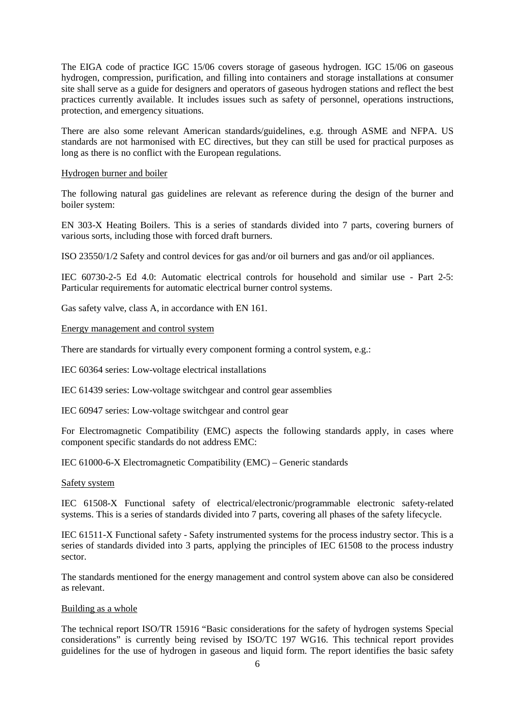The EIGA code of practice IGC 15/06 covers storage of gaseous hydrogen. IGC 15/06 on gaseous hydrogen, compression, purification, and filling into containers and storage installations at consumer site shall serve as a guide for designers and operators of gaseous hydrogen stations and reflect the best practices currently available. It includes issues such as safety of personnel, operations instructions, protection, and emergency situations.

There are also some relevant American standards/guidelines, e.g. through ASME and NFPA. US standards are not harmonised with EC directives, but they can still be used for practical purposes as long as there is no conflict with the European regulations.

# Hydrogen burner and boiler

The following natural gas guidelines are relevant as reference during the design of the burner and boiler system:

EN 303-X Heating Boilers. This is a series of standards divided into 7 parts, covering burners of various sorts, including those with forced draft burners.

ISO 23550/1/2 Safety and control devices for gas and/or oil burners and gas and/or oil appliances.

IEC 60730-2-5 Ed 4.0: Automatic electrical controls for household and similar use - Part 2-5: Particular requirements for automatic electrical burner control systems.

Gas safety valve, class A, in accordance with EN 161.

# Energy management and control system

There are standards for virtually every component forming a control system, e.g.:

IEC 60364 series: Low-voltage electrical installations

IEC 61439 series: Low-voltage switchgear and control gear assemblies

IEC 60947 series: Low-voltage switchgear and control gear

For Electromagnetic Compatibility (EMC) aspects the following standards apply, in cases where component specific standards do not address EMC:

IEC 61000-6-X Electromagnetic Compatibility (EMC) – Generic standards

#### Safety system

IEC 61508-X Functional safety of electrical/electronic/programmable electronic safety-related systems. This is a series of standards divided into 7 parts, covering all phases of the safety lifecycle.

IEC 61511-X Functional safety - Safety instrumented systems for the process industry sector. This is a series of standards divided into 3 parts, applying the principles of IEC 61508 to the process industry sector.

The standards mentioned for the energy management and control system above can also be considered as relevant.

#### Building as a whole

The technical report ISO/TR 15916 "Basic considerations for the safety of hydrogen systems Special considerations" is currently being revised by ISO/TC 197 WG16. This technical report provides guidelines for the use of hydrogen in gaseous and liquid form. The report identifies the basic safety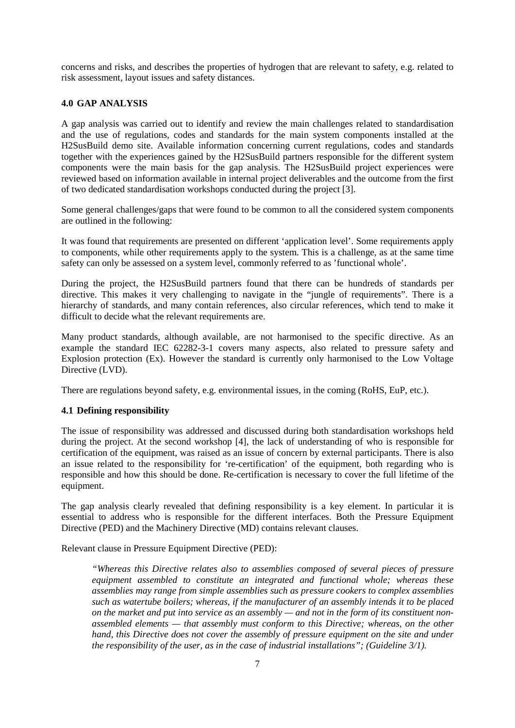concerns and risks, and describes the properties of hydrogen that are relevant to safety, e.g. related to risk assessment, layout issues and safety distances.

# **4.0 GAP ANALYSIS**

A gap analysis was carried out to identify and review the main challenges related to standardisation and the use of regulations, codes and standards for the main system components installed at the H2SusBuild demo site. Available information concerning current regulations, codes and standards together with the experiences gained by the H2SusBuild partners responsible for the different system components were the main basis for the gap analysis. The H2SusBuild project experiences were reviewed based on information available in internal project deliverables and the outcome from the first of two dedicated standardisation workshops conducted during the project [\[3\]](#page-9-0).

Some general challenges/gaps that were found to be common to all the considered system components are outlined in the following:

It was found that requirements are presented on different 'application level'. Some requirements apply to components, while other requirements apply to the system. This is a challenge, as at the same time safety can only be assessed on a system level, commonly referred to as 'functional whole'.

During the project, the H2SusBuild partners found that there can be hundreds of standards per directive. This makes it very challenging to navigate in the "jungle of requirements". There is a hierarchy of standards, and many contain references, also circular references, which tend to make it difficult to decide what the relevant requirements are.

Many product standards, although available, are not harmonised to the specific directive. As an example the standard IEC 62282-3-1 covers many aspects, also related to pressure safety and Explosion protection (Ex). However the standard is currently only harmonised to the Low Voltage Directive (LVD).

There are regulations beyond safety, e.g. environmental issues, in the coming (RoHS, EuP, etc.).

# **4.1 Defining responsibility**

The issue of responsibility was addressed and discussed during both standardisation workshops held during the project. At the second workshop [\[4\]](#page-9-1), the lack of understanding of who is responsible for certification of the equipment, was raised as an issue of concern by external participants. There is also an issue related to the responsibility for 're-certification' of the equipment, both regarding who is responsible and how this should be done. Re-certification is necessary to cover the full lifetime of the equipment.

The gap analysis clearly revealed that defining responsibility is a key element. In particular it is essential to address who is responsible for the different interfaces. Both the Pressure Equipment Directive (PED) and the Machinery Directive (MD) contains relevant clauses.

Relevant clause in Pressure Equipment Directive (PED):

*"Whereas this Directive relates also to assemblies composed of several pieces of pressure equipment assembled to constitute an integrated and functional whole; whereas these assemblies may range from simple assemblies such as pressure cookers to complex assemblies such as watertube boilers; whereas, if the manufacturer of an assembly intends it to be placed on the market and put into service as an assembly — and not in the form of its constituent nonassembled elements — that assembly must conform to this Directive; whereas, on the other hand, this Directive does not cover the assembly of pressure equipment on the site and under the responsibility of the user, as in the case of industrial installations"; (Guideline 3/1).*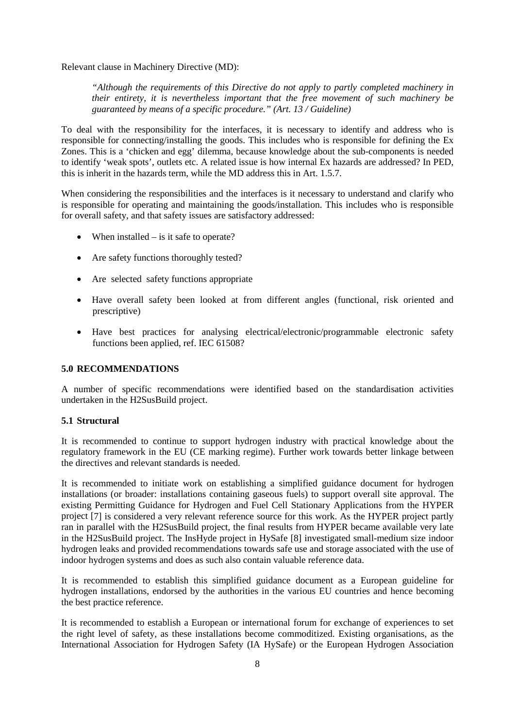Relevant clause in Machinery Directive (MD):

*"Although the requirements of this Directive do not apply to partly completed machinery in their entirety, it is nevertheless important that the free movement of such machinery be guaranteed by means of a specific procedure." (Art. 13 / Guideline)*

To deal with the responsibility for the interfaces, it is necessary to identify and address who is responsible for connecting/installing the goods. This includes who is responsible for defining the Ex Zones. This is a 'chicken and egg' dilemma, because knowledge about the sub-components is needed to identify 'weak spots', outlets etc. A related issue is how internal Ex hazards are addressed? In PED, this is inherit in the hazards term, while the MD address this in Art. 1.5.7.

When considering the responsibilities and the interfaces is it necessary to understand and clarify who is responsible for operating and maintaining the goods/installation. This includes who is responsible for overall safety, and that safety issues are satisfactory addressed:

- When installed is it safe to operate?
- Are safety functions thoroughly tested?
- Are selected safety functions appropriate
- Have overall safety been looked at from different angles (functional, risk oriented and prescriptive)
- Have best practices for analysing electrical/electronic/programmable electronic safety functions been applied, ref. IEC 61508?

# **5.0 RECOMMENDATIONS**

A number of specific recommendations were identified based on the standardisation activities undertaken in the H2SusBuild project.

# **5.1 Structural**

It is recommended to continue to support hydrogen industry with practical knowledge about the regulatory framework in the EU (CE marking regime). Further work towards better linkage between the directives and relevant standards is needed.

It is recommended to initiate work on establishing a simplified guidance document for hydrogen installations (or broader: installations containing gaseous fuels) to support overall site approval. The existing Permitting Guidance for Hydrogen and Fuel Cell Stationary Applications from the HYPER project [\[7\]](#page-9-2) is considered a very relevant reference source for this work. As the HYPER project partly ran in parallel with the H2SusBuild project, the final results from HYPER became available very late in the H2SusBuild project. The InsHyde project in HySafe [\[8\]](#page-9-3) investigated small-medium size indoor hydrogen leaks and provided recommendations towards safe use and storage associated with the use of indoor hydrogen systems and does as such also contain valuable reference data.

It is recommended to establish this simplified guidance document as a European guideline for hydrogen installations, endorsed by the authorities in the various EU countries and hence becoming the best practice reference.

It is recommended to establish a European or international forum for exchange of experiences to set the right level of safety, as these installations become commoditized. Existing organisations, as the International Association for Hydrogen Safety (IA HySafe) or the European Hydrogen Association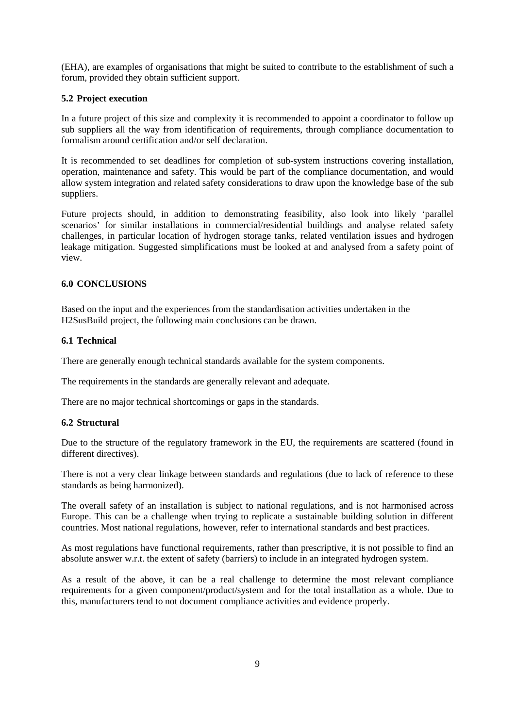(EHA), are examples of organisations that might be suited to contribute to the establishment of such a forum, provided they obtain sufficient support.

# **5.2 Project execution**

In a future project of this size and complexity it is recommended to appoint a coordinator to follow up sub suppliers all the way from identification of requirements, through compliance documentation to formalism around certification and/or self declaration.

It is recommended to set deadlines for completion of sub-system instructions covering installation, operation, maintenance and safety. This would be part of the compliance documentation, and would allow system integration and related safety considerations to draw upon the knowledge base of the sub suppliers.

Future projects should, in addition to demonstrating feasibility, also look into likely 'parallel scenarios' for similar installations in commercial/residential buildings and analyse related safety challenges, in particular location of hydrogen storage tanks, related ventilation issues and hydrogen leakage mitigation. Suggested simplifications must be looked at and analysed from a safety point of view.

# **6.0 CONCLUSIONS**

Based on the input and the experiences from the standardisation activities undertaken in the H2SusBuild project, the following main conclusions can be drawn.

# **6.1 Technical**

There are generally enough technical standards available for the system components.

The requirements in the standards are generally relevant and adequate.

There are no major technical shortcomings or gaps in the standards.

# **6.2 Structural**

Due to the structure of the regulatory framework in the EU, the requirements are scattered (found in different directives).

There is not a very clear linkage between standards and regulations (due to lack of reference to these standards as being harmonized).

The overall safety of an installation is subject to national regulations, and is not harmonised across Europe. This can be a challenge when trying to replicate a sustainable building solution in different countries. Most national regulations, however, refer to international standards and best practices.

As most regulations have functional requirements, rather than prescriptive, it is not possible to find an absolute answer w.r.t. the extent of safety (barriers) to include in an integrated hydrogen system.

As a result of the above, it can be a real challenge to determine the most relevant compliance requirements for a given component/product/system and for the total installation as a whole. Due to this, manufacturers tend to not document compliance activities and evidence properly.